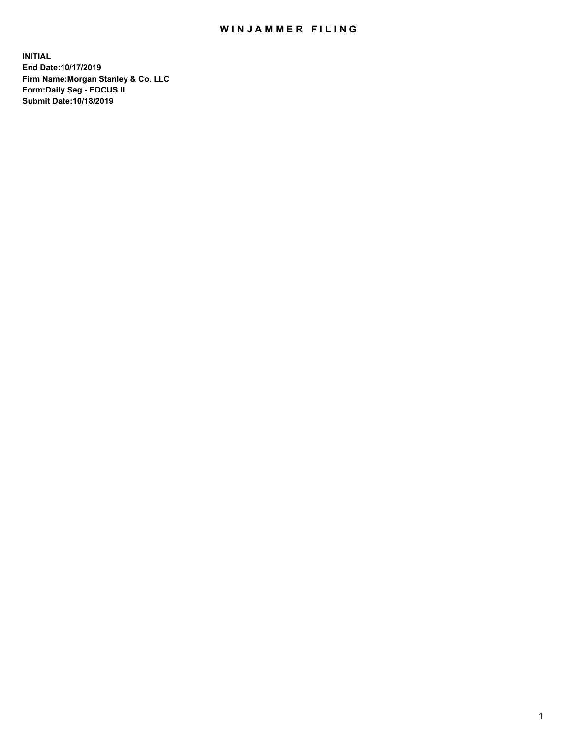## WIN JAMMER FILING

**INITIAL End Date:10/17/2019 Firm Name:Morgan Stanley & Co. LLC Form:Daily Seg - FOCUS II Submit Date:10/18/2019**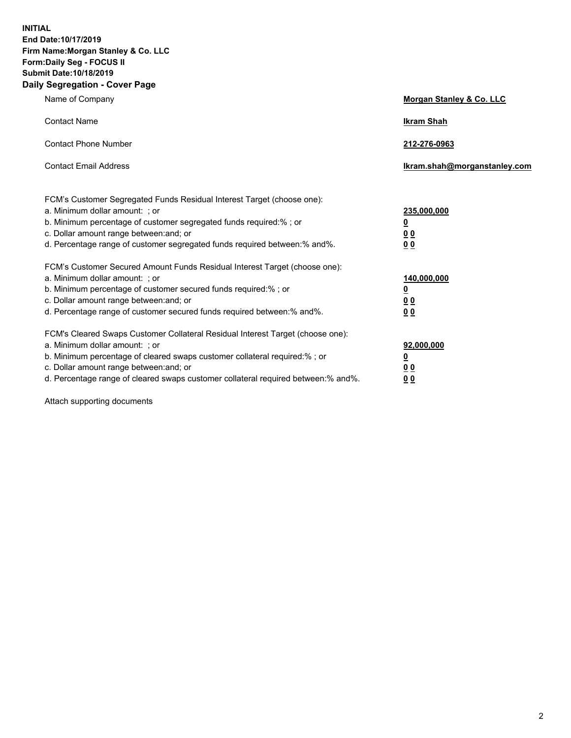**INITIAL End Date:10/17/2019 Firm Name:Morgan Stanley & Co. LLC Form:Daily Seg - FOCUS II Submit Date:10/18/2019 Daily Segregation - Cover Page**

| Name of Company                                                                                                                                                                                                                                                                                                                | Morgan Stanley & Co. LLC                               |
|--------------------------------------------------------------------------------------------------------------------------------------------------------------------------------------------------------------------------------------------------------------------------------------------------------------------------------|--------------------------------------------------------|
| <b>Contact Name</b>                                                                                                                                                                                                                                                                                                            | <b>Ikram Shah</b>                                      |
| <b>Contact Phone Number</b>                                                                                                                                                                                                                                                                                                    | 212-276-0963                                           |
| <b>Contact Email Address</b>                                                                                                                                                                                                                                                                                                   | Ikram.shah@morganstanley.com                           |
| FCM's Customer Segregated Funds Residual Interest Target (choose one):<br>a. Minimum dollar amount: : or<br>b. Minimum percentage of customer segregated funds required:% ; or<br>c. Dollar amount range between: and; or<br>d. Percentage range of customer segregated funds required between:% and%.                         | 235,000,000<br><u>0</u><br>0 <sub>0</sub><br><u>00</u> |
| FCM's Customer Secured Amount Funds Residual Interest Target (choose one):<br>a. Minimum dollar amount: ; or<br>b. Minimum percentage of customer secured funds required:% ; or<br>c. Dollar amount range between: and; or<br>d. Percentage range of customer secured funds required between:% and%.                           | 140,000,000<br><u>0</u><br><u>00</u><br>0 <sub>0</sub> |
| FCM's Cleared Swaps Customer Collateral Residual Interest Target (choose one):<br>a. Minimum dollar amount: ; or<br>b. Minimum percentage of cleared swaps customer collateral required:% ; or<br>c. Dollar amount range between: and; or<br>d. Percentage range of cleared swaps customer collateral required between:% and%. | 92,000,000<br><u>0</u><br><u>00</u><br>0 <sub>0</sub>  |

Attach supporting documents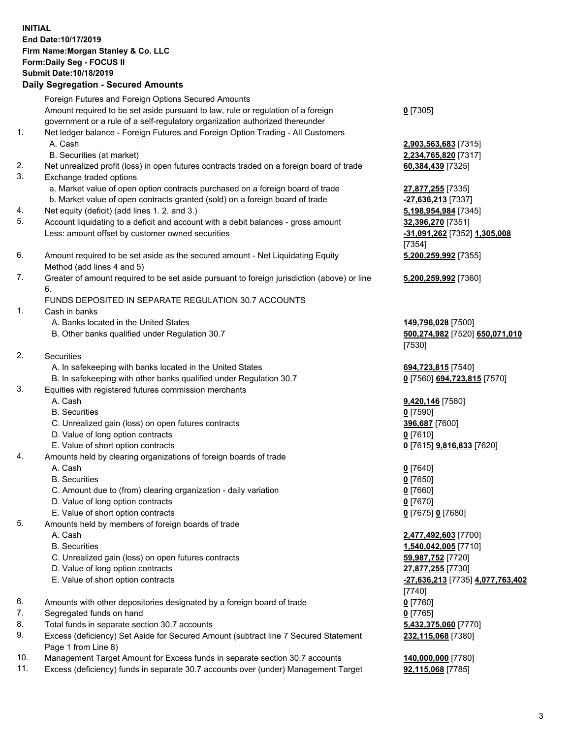## **INITIAL End Date:10/17/2019 Firm Name:Morgan Stanley & Co. LLC Form:Daily Seg - FOCUS II Submit Date:10/18/2019 Daily Segregation - Secured Amounts** Foreign Futures and Foreign Options Secured Amounts Amount required to be set aside pursuant to law, rule or regulation of a foreign government or a rule of a self-regulatory organization authorized thereunder

- 1. Net ledger balance Foreign Futures and Foreign Option Trading All Customers A. Cash **2,903,563,683** [7315]
	- B. Securities (at market) **2,234,765,820** [7317]
- 2. Net unrealized profit (loss) in open futures contracts traded on a foreign board of trade **60,384,439** [7325]
- 3. Exchange traded options
	- a. Market value of open option contracts purchased on a foreign board of trade **27,877,255** [7335]
	- b. Market value of open contracts granted (sold) on a foreign board of trade **-27,636,213** [7337]
- 4. Net equity (deficit) (add lines 1. 2. and 3.) **5,198,954,984** [7345]
- 5. Account liquidating to a deficit and account with a debit balances gross amount **32,396,270** [7351] Less: amount offset by customer owned securities **-31,091,262** [7352] **1,305,008**
- 6. Amount required to be set aside as the secured amount Net Liquidating Equity Method (add lines 4 and 5)
- 7. Greater of amount required to be set aside pursuant to foreign jurisdiction (above) or line 6.

## FUNDS DEPOSITED IN SEPARATE REGULATION 30.7 ACCOUNTS

- 1. Cash in banks
	- A. Banks located in the United States **149,796,028** [7500]
	- B. Other banks qualified under Regulation 30.7 **500,274,982** [7520] **650,071,010**
- 2. Securities
	- A. In safekeeping with banks located in the United States **694,723,815** [7540]
	- B. In safekeeping with other banks qualified under Regulation 30.7 **0** [7560] **694,723,815** [7570]
- 3. Equities with registered futures commission merchants
	-
	- B. Securities **0** [7590]
	- C. Unrealized gain (loss) on open futures contracts **396,687** [7600]
	- D. Value of long option contracts **0** [7610]
- E. Value of short option contracts **0** [7615] **9,816,833** [7620]
- 4. Amounts held by clearing organizations of foreign boards of trade
	- A. Cash **0** [7640]
	- B. Securities **0** [7650]
	- C. Amount due to (from) clearing organization daily variation **0** [7660]
	- D. Value of long option contracts **0** [7670]
	- E. Value of short option contracts **0** [7675] **0** [7680]
- 5. Amounts held by members of foreign boards of trade
	-
	-
	- C. Unrealized gain (loss) on open futures contracts **59,987,752** [7720]
	- D. Value of long option contracts **27,877,255** [7730]
	- E. Value of short option contracts **-27,636,213** [7735] **4,077,763,402**
- 6. Amounts with other depositories designated by a foreign board of trade **0** [7760]
- 7. Segregated funds on hand **0** [7765]
- 8. Total funds in separate section 30.7 accounts **5,432,375,060** [7770]
- 9. Excess (deficiency) Set Aside for Secured Amount (subtract line 7 Secured Statement Page 1 from Line 8)
- 10. Management Target Amount for Excess funds in separate section 30.7 accounts **140,000,000** [7780]
- 11. Excess (deficiency) funds in separate 30.7 accounts over (under) Management Target **92,115,068** [7785]

[7354] **5,200,259,992** [7355]

**5,200,259,992** [7360]

[7530]

A. Cash **9,420,146** [7580]

 A. Cash **2,477,492,603** [7700] B. Securities **1,540,042,005** [7710] [7740] **232,115,068** [7380]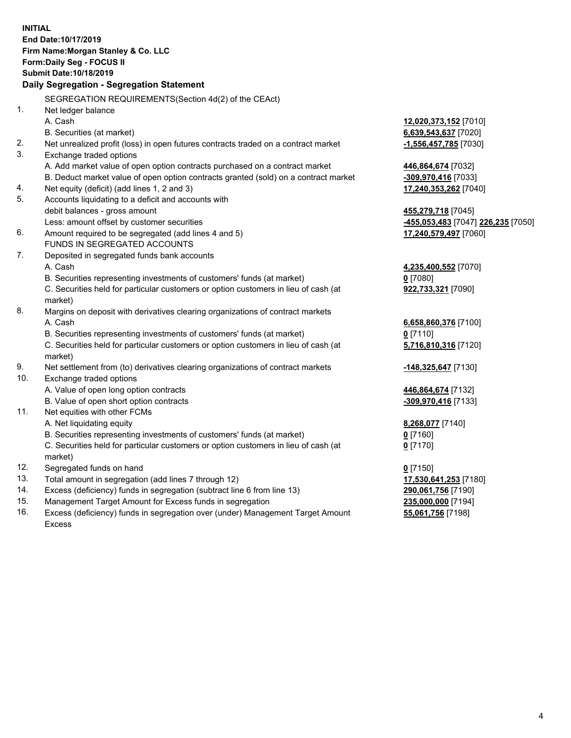|     | <b>INITIAL</b>                                                                                 |                                    |
|-----|------------------------------------------------------------------------------------------------|------------------------------------|
|     | End Date: 10/17/2019                                                                           |                                    |
|     | Firm Name: Morgan Stanley & Co. LLC                                                            |                                    |
|     | Form: Daily Seg - FOCUS II                                                                     |                                    |
|     | Submit Date: 10/18/2019                                                                        |                                    |
|     | Daily Segregation - Segregation Statement                                                      |                                    |
|     | SEGREGATION REQUIREMENTS(Section 4d(2) of the CEAct)                                           |                                    |
| 1.  | Net ledger balance                                                                             |                                    |
|     | A. Cash                                                                                        | 12,020,373,152 [7010]              |
|     | B. Securities (at market)                                                                      | 6,639,543,637 [7020]               |
| 2.  | Net unrealized profit (loss) in open futures contracts traded on a contract market             | $-1,556,457,785$ [7030]            |
| 3.  | Exchange traded options                                                                        |                                    |
|     | A. Add market value of open option contracts purchased on a contract market                    | 446,864,674 [7032]                 |
|     | B. Deduct market value of open option contracts granted (sold) on a contract market            | -309,970,416 [7033]                |
| 4.  | Net equity (deficit) (add lines 1, 2 and 3)                                                    | 17,240,353,262 [7040]              |
| 5.  | Accounts liquidating to a deficit and accounts with                                            |                                    |
|     | debit balances - gross amount                                                                  | 455,279,718 [7045]                 |
|     | Less: amount offset by customer securities                                                     | -455,053,483 [7047] 226,235 [7050] |
| 6.  | Amount required to be segregated (add lines 4 and 5)                                           | 17,240,579,497 [7060]              |
|     | FUNDS IN SEGREGATED ACCOUNTS                                                                   |                                    |
| 7.  | Deposited in segregated funds bank accounts                                                    |                                    |
|     | A. Cash                                                                                        | 4,235,400,552 [7070]               |
|     | B. Securities representing investments of customers' funds (at market)                         | $0$ [7080]                         |
|     | C. Securities held for particular customers or option customers in lieu of cash (at            | 922,733,321 [7090]                 |
|     | market)                                                                                        |                                    |
| 8.  | Margins on deposit with derivatives clearing organizations of contract markets                 |                                    |
|     | A. Cash                                                                                        | 6,658,860,376 [7100]               |
|     | B. Securities representing investments of customers' funds (at market)                         | $0$ [7110]                         |
|     | C. Securities held for particular customers or option customers in lieu of cash (at            | 5,716,810,316 [7120]               |
|     | market)                                                                                        |                                    |
| 9.  | Net settlement from (to) derivatives clearing organizations of contract markets                | -148,325,647 [7130]                |
| 10. | Exchange traded options                                                                        |                                    |
|     | A. Value of open long option contracts                                                         | 446,864,674 [7132]                 |
|     | B. Value of open short option contracts                                                        | -309,970,416 [7133]                |
| 11. | Net equities with other FCMs                                                                   |                                    |
|     | A. Net liquidating equity                                                                      | 8,268,077 [7140]                   |
|     | B. Securities representing investments of customers' funds (at market)                         | $0$ [7160]                         |
|     | C. Securities held for particular customers or option customers in lieu of cash (at<br>market) | $0$ [7170]                         |
| 12. | Segregated funds on hand                                                                       | $0$ [7150]                         |
| 13. | Total amount in segregation (add lines 7 through 12)                                           | 17,530,641,253 [7180]              |
| 14. | Excess (deficiency) funds in segregation (subtract line 6 from line 13)                        | 290,061,756 [7190]                 |
| 15. | Management Target Amount for Excess funds in segregation                                       | 235,000,000 [7194]                 |
| 16. | Excess (deficiency) funds in segregation over (under) Management Target Amount                 | 55,061,756 [7198]                  |
|     |                                                                                                |                                    |

Excess